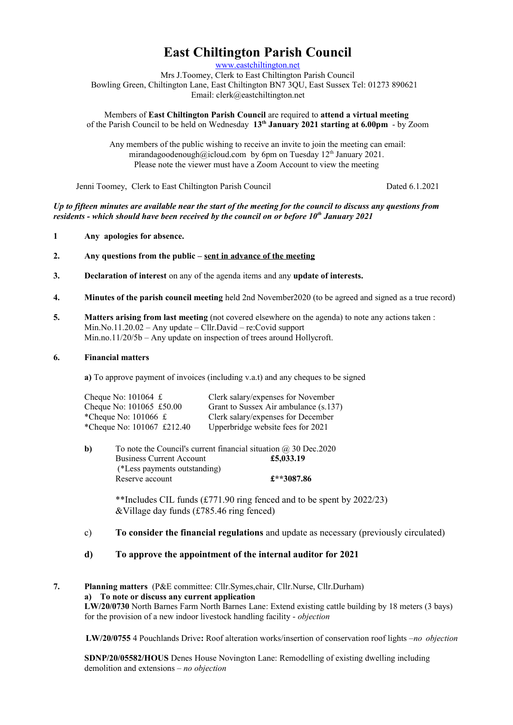# **East Chiltington Parish Council**

[www.eastchiltington.net](http://www.eastchiltington.net/)

Mrs J.Toomey, Clerk to East Chiltington Parish Council Bowling Green, Chiltington Lane, East Chiltington BN7 3QU, East Sussex Tel: 01273 890621 Email: cler[k@eastchiltington.net](mailto:jt@chiltington.wanadoo.co.uk) 

Members of **East Chiltington Parish Council** are required to **attend a virtual meeting**  of the Parish Council to be held on Wednesday **13th January 2021 starting at 6.00pm** - by Zoom

Any members of the public wishing to receive an invite to join the meeting can email: mirandagoodenough@icloud.com by 6pm on Tuesday  $12<sup>th</sup>$  January 2021. Please note the viewer must have a Zoom Account to view the meeting

Jenni Toomey, Clerk to East Chiltington Parish Council Dated 6.1.2021

*Up to fifteen minutes are available near the start of the meeting for the council to discuss any questions from residents - which should have been received by the council on or before 10th January 2021*

- **1 Any apologies for absence.**
- **2. Any questions from the public sent in advance of the meeting**
- **3. Declaration of interest** on any of the agenda items and any **update of interests.**
- **4. Minutes of the parish council meeting** held 2nd November2020 (to be agreed and signed as a true record)
- **5. Matters arising from last meeting** (not covered elsewhere on the agenda) to note any actions taken : Min.No.11.20.02 – Any update – Cllr.David – re:Covid support Min.no.11/20/5b – Any update on inspection of trees around Hollycroft.

#### **6. Financial matters**

**a)** To approve payment of invoices (including v.a.t) and any cheques to be signed

| Cheque No: $101064 \text{ } \pounds$  | Clerk salary/expenses for November    |
|---------------------------------------|---------------------------------------|
| Cheque No: 101065 £50.00              | Grant to Sussex Air ambulance (s.137) |
| *Cheque No: $101066 \text{ } \pounds$ | Clerk salary/expenses for December    |
| *Cheque No: 101067 £212.40            | Upperbridge website fees for 2021     |

| b) | To note the Council's current financial situation $\omega$ 30 Dec. 2020 |            |
|----|-------------------------------------------------------------------------|------------|
|    | <b>Business Current Account</b>                                         | £5,033.19  |
|    | (*Less payments outstanding)                                            |            |
|    | Reserve account                                                         | £**3087.86 |

\*\*Includes CIL funds (£771.90 ring fenced and to be spent by 2022/23) &Village day funds (£785.46 ring fenced)

## c) **To consider the financial regulations** and update as necessary (previously circulated)

#### **d) To approve the appointment of the internal auditor for 2021**

**7. Planning matters** (P&E committee: Cllr.Symes,chair, Cllr.Nurse, Cllr.Durham) **a) To note or discuss any current application LW/20/0730** North Barnes Farm North Barnes Lane: Extend existing cattle building by 18 meters (3 bays) for the provision of a new indoor livestock handling facility - *objection*

**LW/20/0755** 4 Pouchlands Drive**:** Roof alteration works/insertion of conservation roof lights –*no objection*

**SDNP/20/05582/HOUS** Denes House Novington Lane: Remodelling of existing dwelling including demolition and extensions *– no objection*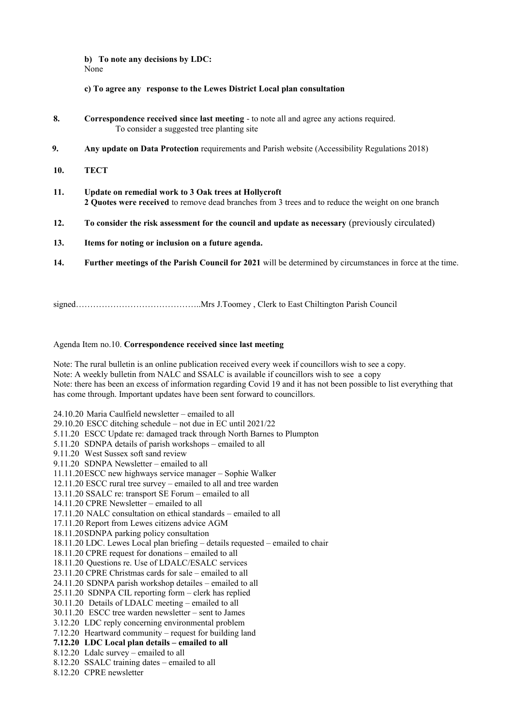**b) To note any decisions by LDC:** None

**c) To agree any response to the Lewes District Local plan consultation**

- **8. Correspondence received since last meeting**  to note all and agree any actions required. To consider a suggested tree planting site
- **9. Any update on Data Protection** requirements and Parish website (Accessibility Regulations 2018)
- **10. TECT**
- **11. Update on remedial work to 3 Oak trees at Hollycroft 2 Quotes were received** to remove dead branches from 3 trees and to reduce the weight on one branch
- **12. To consider the risk assessment for the council and update as necessary** (previously circulated)
- **13. Items for noting or inclusion on a future agenda.**
- **14. Further meetings of the Parish Council for 2021** will be determined by circumstances in force at the time.

signed……………………………………..Mrs J.Toomey , Clerk to East Chiltington Parish Council

#### Agenda Item no.10. **Correspondence received since last meeting**

Note: The rural bulletin is an online publication received every week if councillors wish to see a copy. Note: A weekly bulletin from NALC and SSALC is available if councillors wish to see a copy Note: there has been an excess of information regarding Covid 19 and it has not been possible to list everything that has come through. Important updates have been sent forward to councillors.

24.10.20 Maria Caulfield newsletter – emailed to all 29.10.20 ESCC ditching schedule – not due in EC until 2021/22 5.11.20 ESCC Update re: damaged track through North Barnes to Plumpton 5.11.20 SDNPA details of parish workshops – emailed to all 9.11.20 West Sussex soft sand review 9.11.20 SDNPA Newsletter – emailed to all 11.11.20ESCC new highways service manager – Sophie Walker 12.11.20 ESCC rural tree survey – emailed to all and tree warden 13.11.20 SSALC re: transport SE Forum – emailed to all 14.11.20 CPRE Newsletter – emailed to all 17.11.20 NALC consultation on ethical standards – emailed to all 17.11.20 Report from Lewes citizens advice AGM 18.11.20SDNPA parking policy consultation 18.11.20 LDC. Lewes Local plan briefing – details requested – emailed to chair 18.11.20 CPRE request for donations – emailed to all 18.11.20 Questions re. Use of LDALC/ESALC services 23.11.20 CPRE Christmas cards for sale – emailed to all 24.11.20 SDNPA parish workshop detailes – emailed to all 25.11.20 SDNPA CIL reporting form – clerk has replied 30.11.20 Details of LDALC meeting – emailed to all 30.11.20 ESCC tree warden newsletter – sent to James 3.12.20 LDC reply concerning environmental problem 7.12.20 Heartward community – request for building land **7.12.20 LDC Local plan details – emailed to all** 8.12.20 Ldalc survey – emailed to all 8.12.20 SSALC training dates – emailed to all 8.12.20 CPRE newsletter